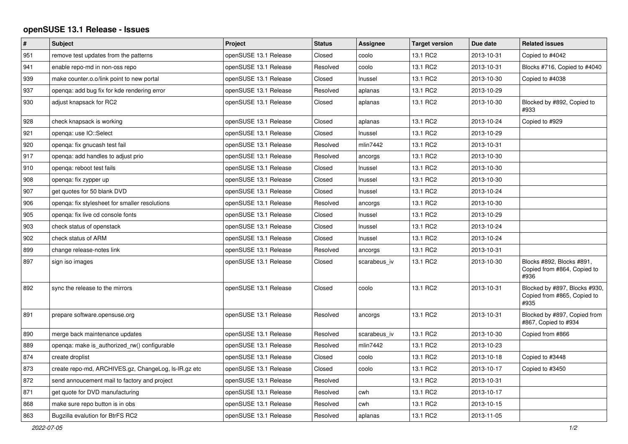## **openSUSE 13.1 Release - Issues**

| $\pmb{\#}$ | <b>Subject</b>                                       | Project               | <b>Status</b> | Assignee     | <b>Target version</b> | Due date   | <b>Related issues</b>                                                |
|------------|------------------------------------------------------|-----------------------|---------------|--------------|-----------------------|------------|----------------------------------------------------------------------|
| 951        | remove test updates from the patterns                | openSUSE 13.1 Release | Closed        | coolo        | 13.1 RC2              | 2013-10-31 | Copied to #4042                                                      |
| 941        | enable repo-md in non-oss repo                       | openSUSE 13.1 Release | Resolved      | coolo        | 13.1 RC2              | 2013-10-31 | Blocks #716, Copied to #4040                                         |
| 939        | make counter.o.o/link point to new portal            | openSUSE 13.1 Release | Closed        | Inussel      | 13.1 RC2              | 2013-10-30 | Copied to #4038                                                      |
| 937        | openga: add bug fix for kde rendering error          | openSUSE 13.1 Release | Resolved      | aplanas      | 13.1 RC2              | 2013-10-29 |                                                                      |
| 930        | adjust knapsack for RC2                              | openSUSE 13.1 Release | Closed        | aplanas      | 13.1 RC2              | 2013-10-30 | Blocked by #892, Copied to<br>#933                                   |
| 928        | check knapsack is working                            | openSUSE 13.1 Release | Closed        | aplanas      | 13.1 RC2              | 2013-10-24 | Copied to #929                                                       |
| 921        | openga: use IO::Select                               | openSUSE 13.1 Release | Closed        | Inussel      | 13.1 RC2              | 2013-10-29 |                                                                      |
| 920        | openqa: fix gnucash test fail                        | openSUSE 13.1 Release | Resolved      | mlin7442     | 13.1 RC2              | 2013-10-31 |                                                                      |
| 917        | openga: add handles to adjust prio                   | openSUSE 13.1 Release | Resolved      | ancorgs      | 13.1 RC2              | 2013-10-30 |                                                                      |
| 910        | openga: reboot test fails                            | openSUSE 13.1 Release | Closed        | Inussel      | 13.1 RC2              | 2013-10-30 |                                                                      |
| 908        | openga: fix zypper up                                | openSUSE 13.1 Release | Closed        | Inussel      | 13.1 RC2              | 2013-10-30 |                                                                      |
| 907        | get quotes for 50 blank DVD                          | openSUSE 13.1 Release | Closed        | Inussel      | 13.1 RC2              | 2013-10-24 |                                                                      |
| 906        | openqa: fix stylesheet for smaller resolutions       | openSUSE 13.1 Release | Resolved      | ancorgs      | 13.1 RC2              | 2013-10-30 |                                                                      |
| 905        | openqa: fix live cd console fonts                    | openSUSE 13.1 Release | Closed        | Inussel      | 13.1 RC2              | 2013-10-29 |                                                                      |
| 903        | check status of openstack                            | openSUSE 13.1 Release | Closed        | Inussel      | 13.1 RC2              | 2013-10-24 |                                                                      |
| 902        | check status of ARM                                  | openSUSE 13.1 Release | Closed        | Inussel      | 13.1 RC2              | 2013-10-24 |                                                                      |
| 899        | change release-notes link                            | openSUSE 13.1 Release | Resolved      | ancorgs      | 13.1 RC2              | 2013-10-31 |                                                                      |
| 897        | sign iso images                                      | openSUSE 13.1 Release | Closed        | scarabeus iv | 13.1 RC2              | 2013-10-30 | Blocks #892, Blocks #891,<br>Copied from #864, Copied to<br>#936     |
| 892        | sync the release to the mirrors                      | openSUSE 13.1 Release | Closed        | coolo        | 13.1 RC2              | 2013-10-31 | Blocked by #897, Blocks #930,<br>Copied from #865, Copied to<br>#935 |
| 891        | prepare software.opensuse.org                        | openSUSE 13.1 Release | Resolved      | ancorgs      | 13.1 RC2              | 2013-10-31 | Blocked by #897, Copied from<br>#867, Copied to #934                 |
| 890        | merge back maintenance updates                       | openSUSE 13.1 Release | Resolved      | scarabeus iv | 13.1 RC2              | 2013-10-30 | Copied from #866                                                     |
| 889        | openga: make is authorized rw() configurable         | openSUSE 13.1 Release | Resolved      | mlin7442     | 13.1 RC2              | 2013-10-23 |                                                                      |
| 874        | create droplist                                      | openSUSE 13.1 Release | Closed        | coolo        | 13.1 RC2              | 2013-10-18 | Copied to #3448                                                      |
| 873        | create repo-md, ARCHIVES.gz, ChangeLog, Is-IR.gz etc | openSUSE 13.1 Release | Closed        | coolo        | 13.1 RC2              | 2013-10-17 | Copied to #3450                                                      |
| 872        | send annoucement mail to factory and project         | openSUSE 13.1 Release | Resolved      |              | 13.1 RC2              | 2013-10-31 |                                                                      |
| 871        | get quote for DVD manufacturing                      | openSUSE 13.1 Release | Resolved      | cwh          | 13.1 RC2              | 2013-10-17 |                                                                      |
| 868        | make sure repo button is in obs                      | openSUSE 13.1 Release | Resolved      | cwh          | 13.1 RC2              | 2013-10-15 |                                                                      |
| 863        | Bugzilla evalution for BtrFS RC2                     | openSUSE 13.1 Release | Resolved      | aplanas      | 13.1 RC2              | 2013-11-05 |                                                                      |